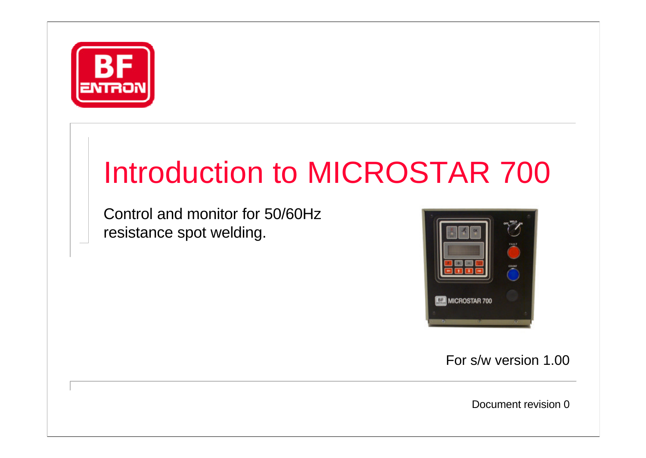

## Introduction to MICROSTAR 700

Control and monitor for 50/60Hz resistance spot welding.



For s/w version 1.00

Document revision 0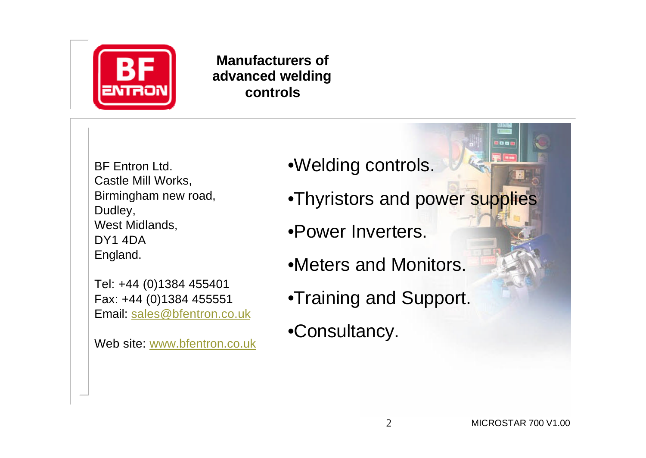

**Manufacturers of advanced welding controls**

BF Entron Ltd. Castle Mill Works, Birmingham new road, Dudley, West Midlands, DY1 4DA England.

Tel: +44 (0)1384 455401 Fax: +44 (0)1384 455551 Email: sales@bfentron.co.uk

Web site: www.bfentron.co.uk

•Welding controls.

- •Thyristors and power supplies
- •Power Inverters.
- •Meters and Monitors.
- •Training and Support.
- •Consultancy.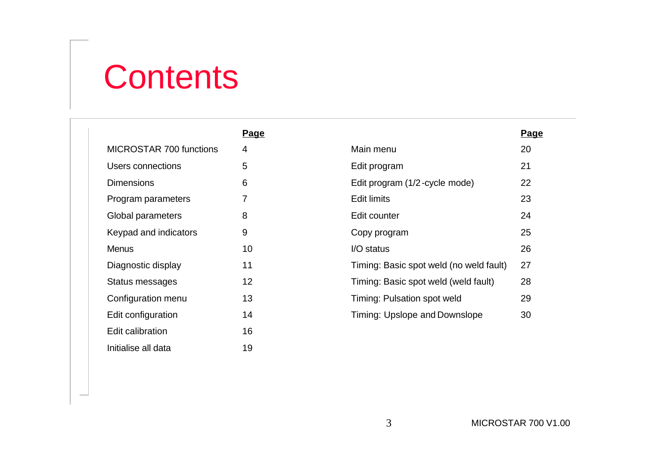## **Contents**

|                                | Page |                                         | <u>Pa</u> |
|--------------------------------|------|-----------------------------------------|-----------|
| <b>MICROSTAR 700 functions</b> | 4    | Main menu                               | 20        |
| Users connections              | 5    | Edit program                            | 21        |
| <b>Dimensions</b>              | 6    | Edit program (1/2-cycle mode)           | 22        |
| Program parameters             | 7    | <b>Edit limits</b>                      | 23        |
| Global parameters              | 8    | Edit counter                            | 24        |
| Keypad and indicators          | 9    | Copy program                            | 25        |
| <b>Menus</b>                   | 10   | I/O status                              | 26        |
| Diagnostic display             | 11   | Timing: Basic spot weld (no weld fault) | 27        |
| Status messages                | 12   | Timing: Basic spot weld (weld fault)    | 28        |
| Configuration menu             | 13   | Timing: Pulsation spot weld             | 29        |
| Edit configuration             | 14   | Timing: Upslope and Downslope           | 30        |
| Edit calibration               | 16   |                                         |           |
| Initialise all data            | 19   |                                         |           |

**Page**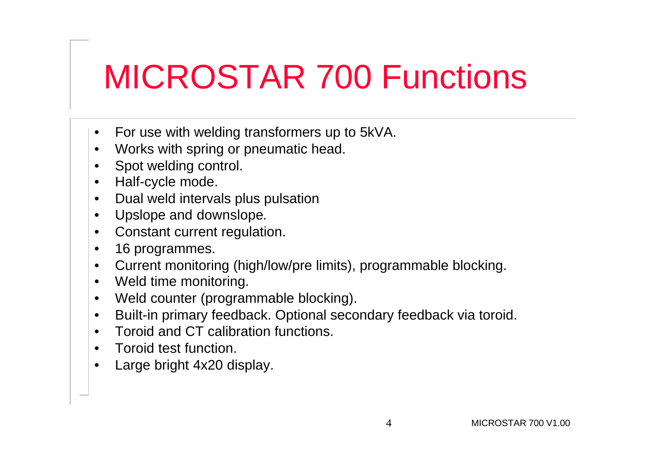## MICROSTAR 700 Functions

- For use with welding transformers up to 5kVA.
- Works with spring or pneumatic head.
- Spot welding control.
- Half-cycle mode.
- Dual weld intervals plus pulsation
- Upslope and downslope.
- Constant current regulation.
- 16 programmes.
- Current monitoring (high/low/pre limits), programmable blocking.
- Weld time monitoring.
- Weld counter (programmable blocking).
- Built-in primary feedback. Optional secondary feedback via toroid.
- Toroid and CT calibration functions.
- Toroid test function.
- Large bright 4x20 display.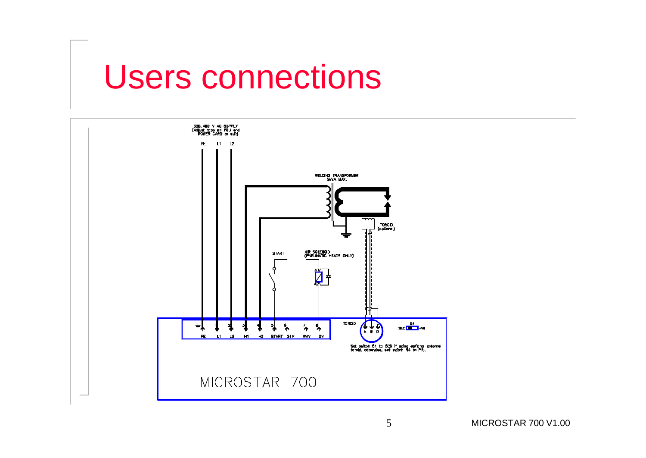### Users connections

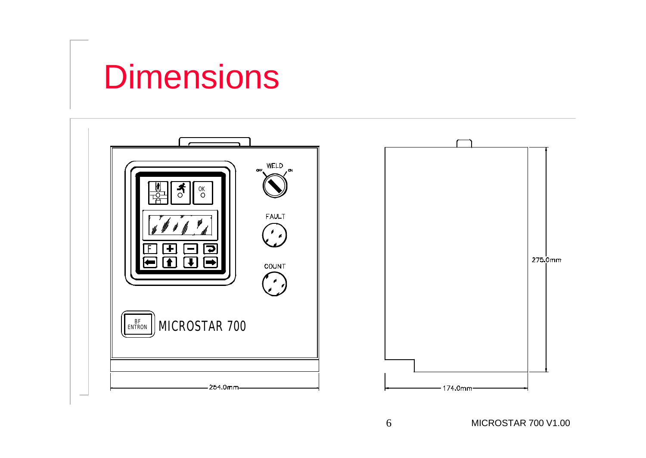## **Dimensions**

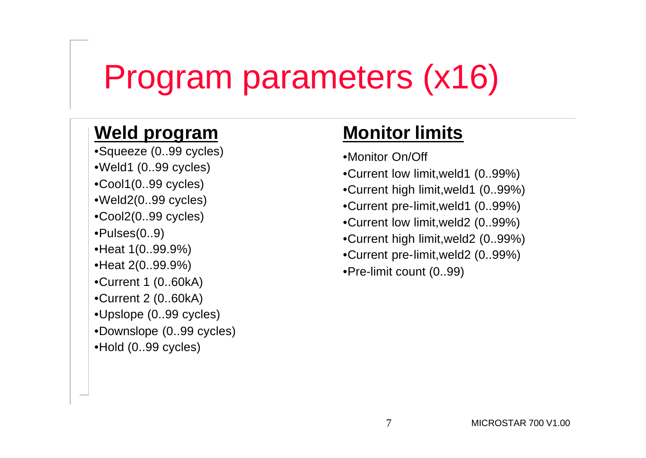## Program parameters (x16)

#### **Weld program**

•Squeeze (0..99 cycles) •Weld1 (0..99 cycles) •Cool1(0..99 cycles) •Weld2(0..99 cycles) •Cool2(0..99 cycles) •Pulses(0..9) •Heat 1(0..99.9%) •Heat 2(0..99.9%) •Current 1 (0..60kA) •Current 2 (0..60kA) •Upslope (0..99 cycles) •Downslope (0..99 cycles) •Hold (0..99 cycles)

#### **Monitor limits**

- •Monitor On/Off
- •Current low limit,weld1 (0..99%)
- •Current high limit,weld1 (0..99%)
- •Current pre-limit,weld1 (0..99%)
- •Current low limit,weld2 (0..99%)
- •Current high limit,weld2 (0..99%)
- •Current pre-limit,weld2 (0..99%)
- •Pre-limit count (0..99)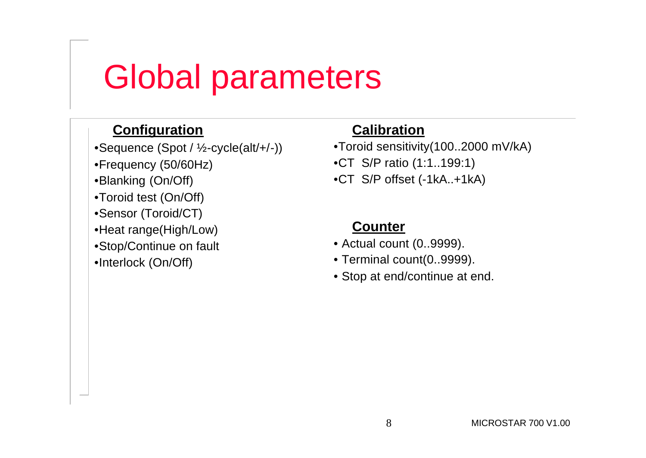## Global parameters

#### **Configuration**

•Sequence (Spot / ½-cycle(alt/+/-)) •Frequency (50/60Hz) •Blanking (On/Off) •Toroid test (On/Off) •Sensor (Toroid/CT) •Heat range(High/Low) •Stop/Continue on fault •Interlock (On/Off)

#### **Calibration**

•Toroid sensitivity(100..2000 mV/kA) •CT S/P ratio (1:1..199:1) •CT S/P offset (-1kA..+1kA)

#### **Counter**

- Actual count (0..9999).
- Terminal count(0..9999).
- Stop at end/continue at end.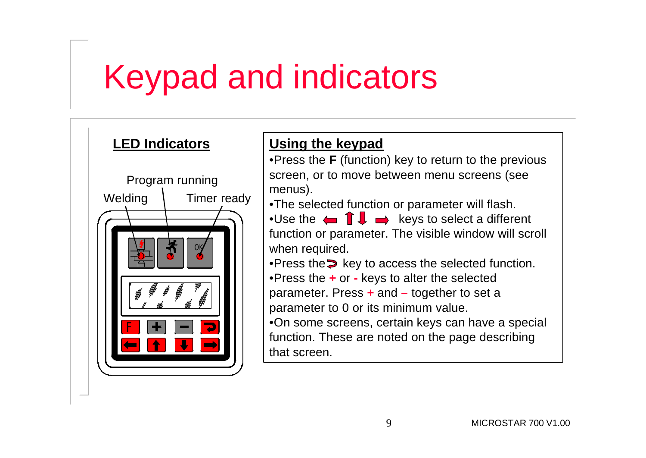## Keypad and indicators



#### **Using the keypad**

•Press the **F** (function) key to return to the previous screen, or to move between menu screens (see menus).

•The selected function or parameter will flash.

•Use the  $\leftarrow \mathbf{I}$   $\rightarrow$  keys to select a different function or parameter. The visible window will scroll when required.

•Press the  $\triangleright$  key to access the selected function.

•Press the **+** or **-** keys to alter the selected

parameter. Press **+** and **–** together to set a parameter to 0 or its minimum value.

•On some screens, certain keys can have a special function. These are noted on the page describing that screen.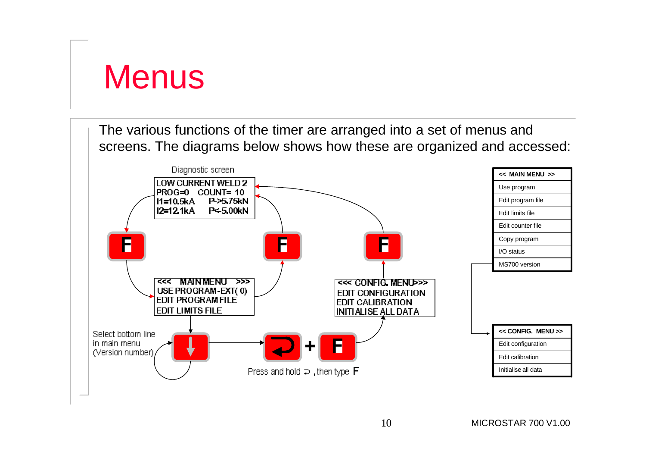### **Menus**

The various functions of the timer are arranged into a set of menus and screens. The diagrams below shows how these are organized and accessed:

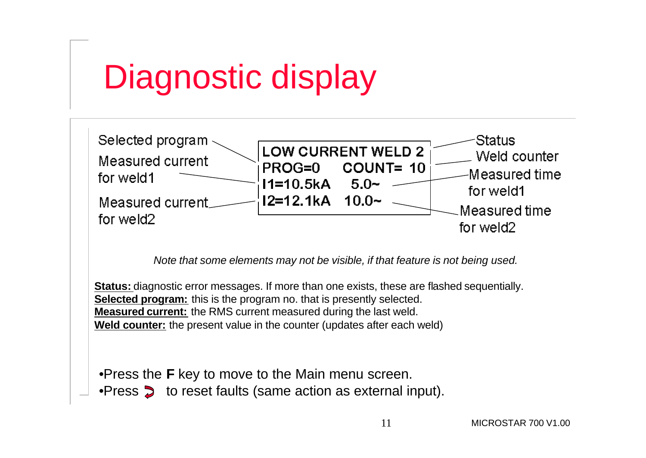## Diagnostic display



*Note that some elements may not be visible, if that feature is not being used.*

**Status:** diagnostic error messages. If more than one exists, these are flashed sequentially. **Selected program:** this is the program no. that is presently selected. **Measured current:** the RMS current measured during the last weld. **Weld counter:** the present value in the counter (updates after each weld)

•Press the **F** key to move to the Main menu screen. •Press  $\triangleright$  to reset faults (same action as external input).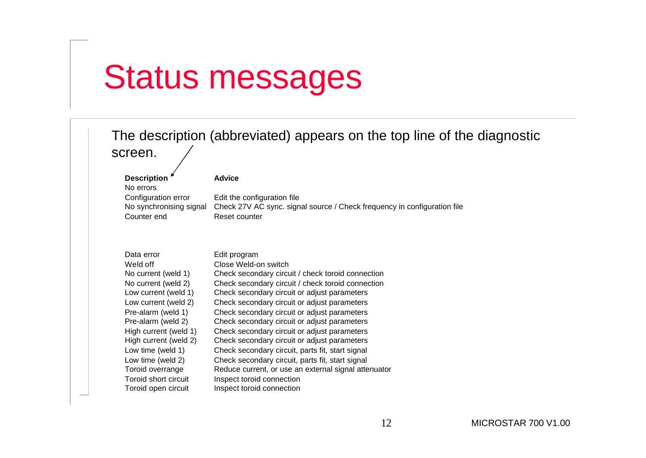## Status messages

| The description (abbreviated) appears on the top line of the diagnostic<br>screen.                                                                                                                                                                                                                                              |                                                                                                                                                                                                                                                                                                                                                                                                                                                                                                                                                                                                                                                                          |  |  |
|---------------------------------------------------------------------------------------------------------------------------------------------------------------------------------------------------------------------------------------------------------------------------------------------------------------------------------|--------------------------------------------------------------------------------------------------------------------------------------------------------------------------------------------------------------------------------------------------------------------------------------------------------------------------------------------------------------------------------------------------------------------------------------------------------------------------------------------------------------------------------------------------------------------------------------------------------------------------------------------------------------------------|--|--|
| <b>Description</b><br>No errors<br>Configuration error<br>No synchronising signal<br>Counter end                                                                                                                                                                                                                                | <b>Advice</b><br>Edit the configuration file<br>Check 27V AC sync. signal source / Check frequency in configuration file<br>Reset counter                                                                                                                                                                                                                                                                                                                                                                                                                                                                                                                                |  |  |
| Data error<br>Weld off<br>No current (weld 1)<br>No current (weld 2)<br>Low current (weld 1)<br>Low current (weld 2)<br>Pre-alarm (weld 1)<br>Pre-alarm (weld 2)<br>High current (weld 1)<br>High current (weld 2)<br>Low time (weld 1)<br>Low time (weld 2)<br>Toroid overrange<br>Toroid short circuit<br>Toroid open circuit | Edit program<br>Close Weld-on switch<br>Check secondary circuit / check toroid connection<br>Check secondary circuit / check toroid connection<br>Check secondary circuit or adjust parameters<br>Check secondary circuit or adjust parameters<br>Check secondary circuit or adjust parameters<br>Check secondary circuit or adjust parameters<br>Check secondary circuit or adjust parameters<br>Check secondary circuit or adjust parameters<br>Check secondary circuit, parts fit, start signal<br>Check secondary circuit, parts fit, start signal<br>Reduce current, or use an external signal attenuator<br>Inspect toroid connection<br>Inspect toroid connection |  |  |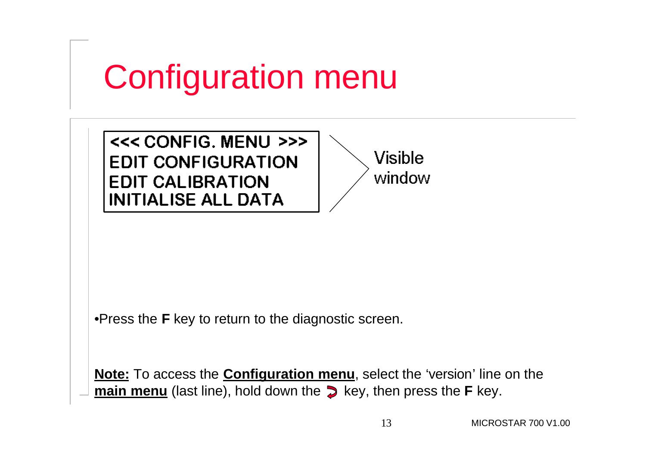## Configuration menu

<<< CONFIG. MENU >>> **EDIT CONFIGURATION EDIT CALIBRATION INITIALISE ALL DATA** 

**Visible** window

•Press the **F** key to return to the diagnostic screen.

**Note:** To access the **Configuration menu**, select the 'version' line on the **main menu** (last line), hold down the  $\triangleright$  key, then press the **F** key.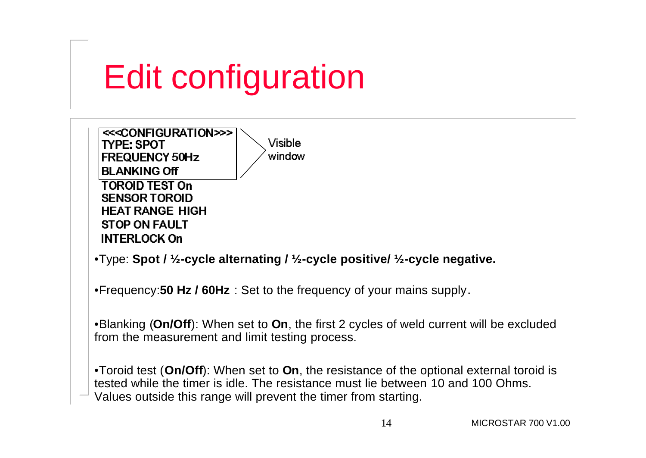# Edit configuration

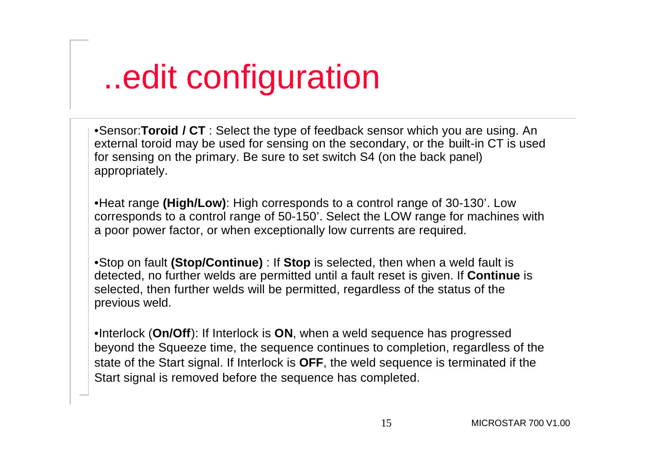## ..edit configuration

•Sensor:**Toroid / CT** : Select the type of feedback sensor which you are using. An external toroid may be used for sensing on the secondary, or the built-in CT is used for sensing on the primary. Be sure to set switch S4 (on the back panel) appropriately.

•Heat range **(High/Low)**: High corresponds to a control range of 30-130'. Low corresponds to a control range of 50-150'. Select the LOW range for machines with a poor power factor, or when exceptionally low currents are required.

•Stop on fault **(Stop/Continue)** : If **Stop** is selected, then when a weld fault is detected, no further welds are permitted until a fault reset is given. If **Continue** is selected, then further welds will be permitted, regardless of the status of the previous weld.

•Interlock (**On/Off**): If Interlock is **ON**, when a weld sequence has progressed beyond the Squeeze time, the sequence continues to completion, regardless of the state of the Start signal. If Interlock is **OFF**, the weld sequence is terminated if the Start signal is removed before the sequence has completed.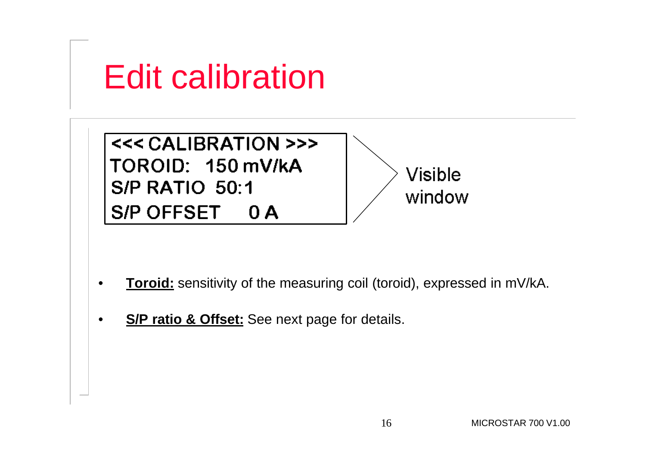

- **Toroid:** sensitivity of the measuring coil (toroid), expressed in mV/kA.
- **S/P ratio & Offset:** See next page for details.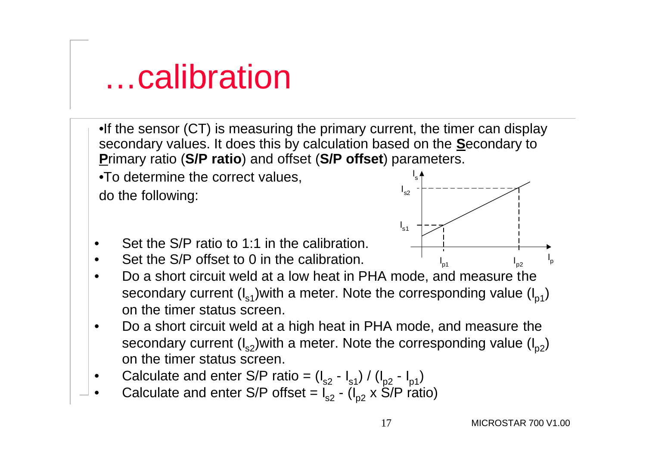#### …calibration

•If the sensor (CT) is measuring the primary current, the timer can display secondary values. It does this by calculation based on the **S**econdary to **P**rimary ratio (**S/P ratio**) and offset (**S/P offset**) parameters.

•To determine the correct values, do the following:



- Set the S/P ratio to 1:1 in the calibration.
- Set the S/P offset to 0 in the calibration.
- Do a short circuit weld at a low heat in PHA mode, and measure the secondary current  $(I_{s1})$  with a meter. Note the corresponding value  $(I_{p1})$ on the timer status screen.
- Do a short circuit weld at a high heat in PHA mode, and measure the secondary current  $(I_{s2})$  with a meter. Note the corresponding value  $(I_{p2})$ on the timer status screen.
- Calculate and enter S/P ratio =  $(I_{s2} I_{s1}) / (I_{p2} I_{p1})$
- Calculate and enter S/P offset =  $I_{s2}$  ( $I_{p2}$  x S/P ratio)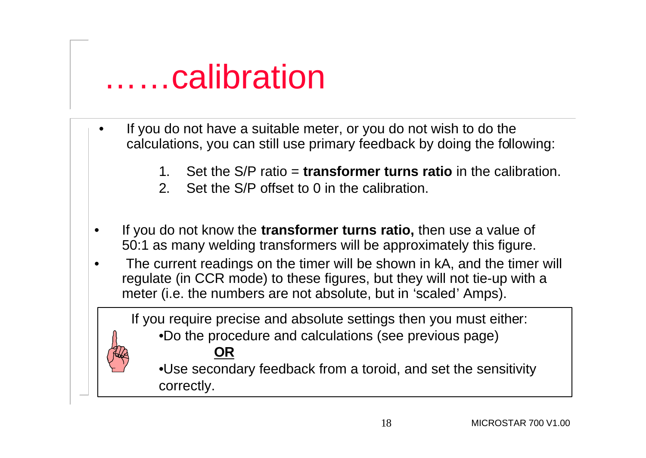### ……calibration

- If you do not have a suitable meter, or you do not wish to do the calculations, you can still use primary feedback by doing the following:
	- 1. Set the S/P ratio = **transformer turns ratio** in the calibration.
	- 2. Set the S/P offset to 0 in the calibration.
- If you do not know the **transformer turns ratio,** then use a value of 50:1 as many welding transformers will be approximately this figure.
- The current readings on the timer will be shown in kA, and the timer will regulate (in CCR mode) to these figures, but they will not tie-up with a meter (i.e. the numbers are not absolute, but in 'scaled' Amps).

If you require precise and absolute settings then you must either: •Do the procedure and calculations (see previous page)

**OR** •Use secondary feedback from a toroid, and set the sensitivity correctly.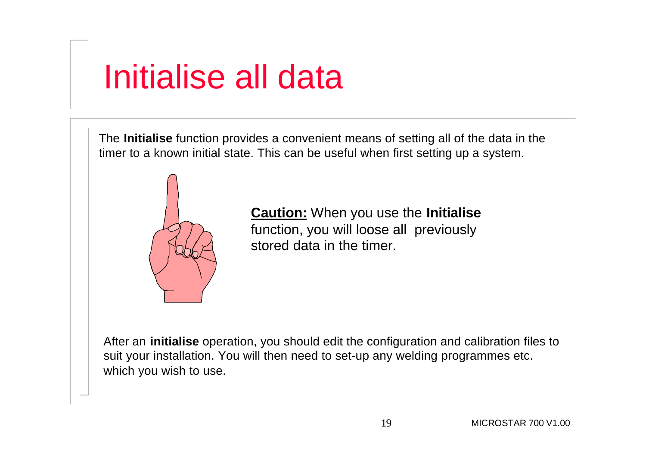## Initialise all data

The **Initialise** function provides a convenient means of setting all of the data in the timer to a known initial state. This can be useful when first setting up a system.



**Caution:** When you use the **Initialise** function, you will loose all previously stored data in the timer.

After an **initialise** operation, you should edit the configuration and calibration files to suit your installation. You will then need to set-up any welding programmes etc. which you wish to use.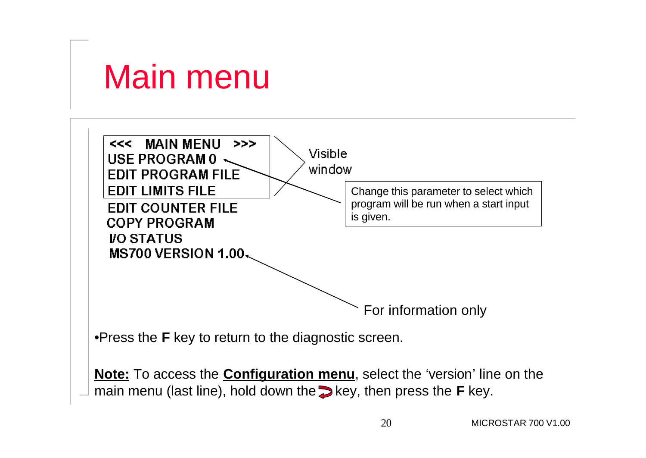## Main menu

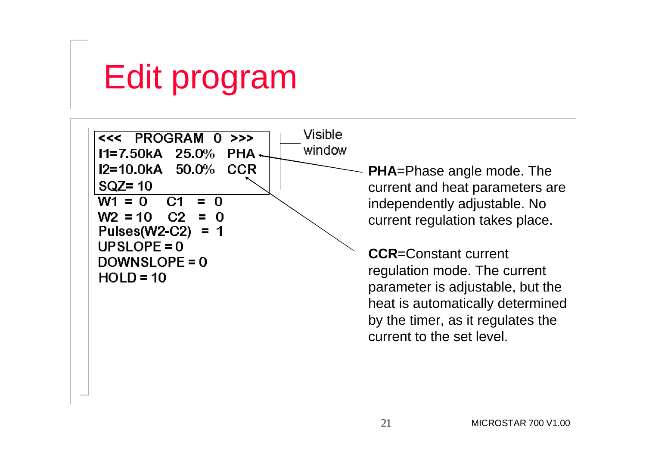# Edit program



**PHA**=Phase angle mode. The current and heat parameters are independently adjustable. No current regulation takes place.

**CCR**=Constant current regulation mode. The current parameter is adjustable, but the heat is automatically determined by the timer, as it regulates the current to the set level.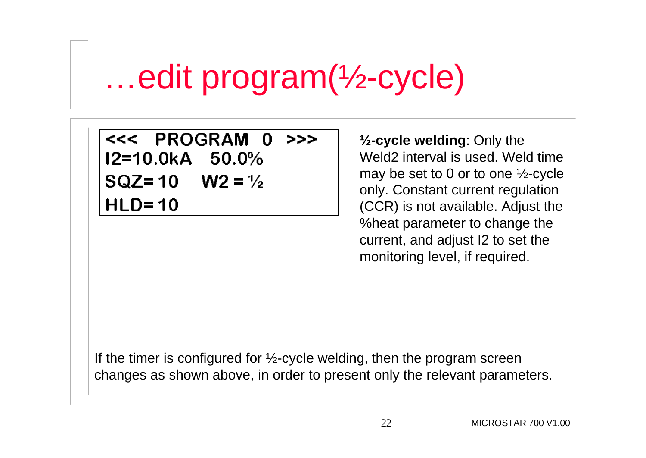## …edit program(½-cycle)

<<< PROGRAM 0  $>>$ 12=10.0kA 50.0% SQZ=10 W2 =  $\frac{1}{2}$  $HLD = 10$ 

**½-cycle welding**: Only the Weld2 interval is used. Weld time may be set to 0 or to one ½-cycle only. Constant current regulation (CCR) is not available. Adjust the %heat parameter to change the current, and adjust I2 to set the monitoring level, if required.

If the timer is configured for  $\frac{1}{2}$ -cycle welding, then the program screen changes as shown above, in order to present only the relevant parameters.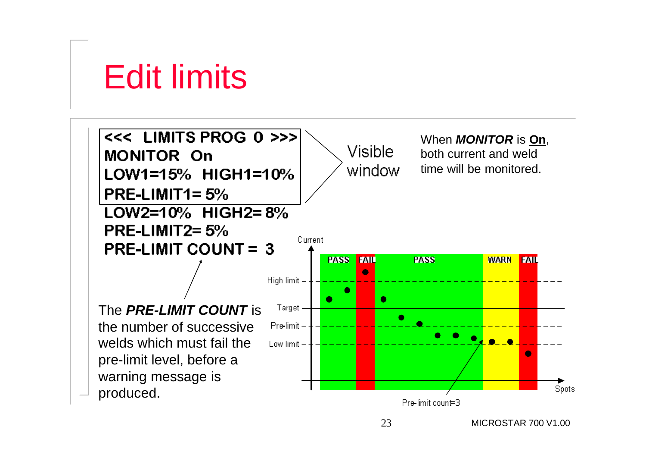Edit limits

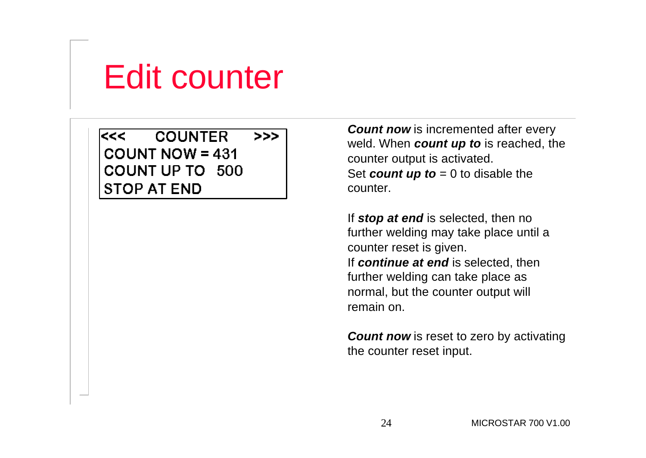## Edit counter

**COUNTER**  $<<$  $>>$  $COUNT NOW = 431$ COUNT UP TO 500 **STOP AT END** 

*Count now* is incremented after every weld. When *count up to* is reached, the counter output is activated. Set *count up to* = 0 to disable the counter.

If *stop at end* is selected, then no further welding may take place until a counter reset is given. If *continue at end* is selected, then further welding can take place as normal, but the counter output will remain on.

*Count now* is reset to zero by activating the counter reset input.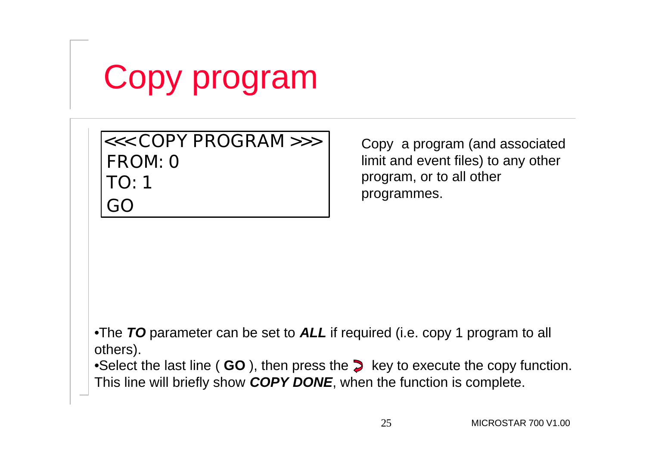# Copy program

#### **FROM: 0 GO TO: 1 <<< COPY PROGRAM >>>** Copy a program (and associated

limit and event files) to any other program, or to all other programmes.

•The *TO* parameter can be set to *ALL* if required (i.e. copy 1 program to all others).

•Select the last line ( GO ), then press the  $\geq$  key to execute the copy function. This line will briefly show *COPY DONE*, when the function is complete.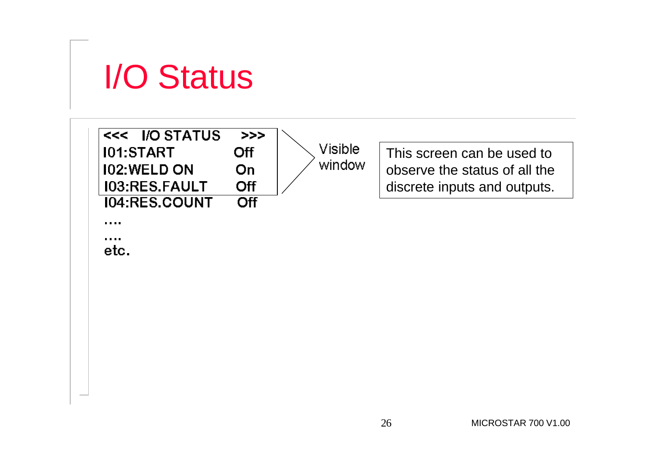

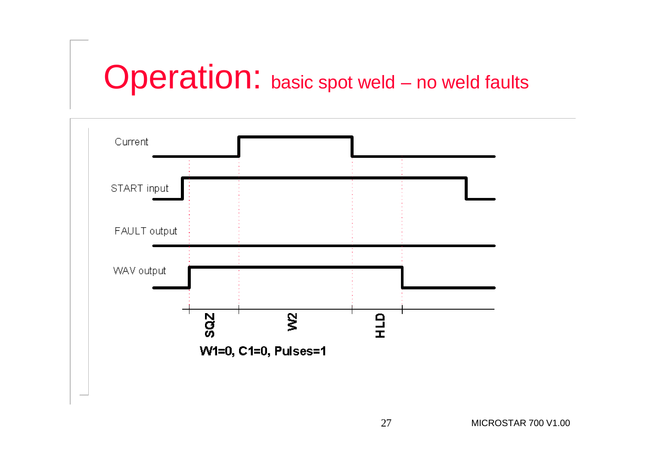## Operation: basic spot weld – no weld faults

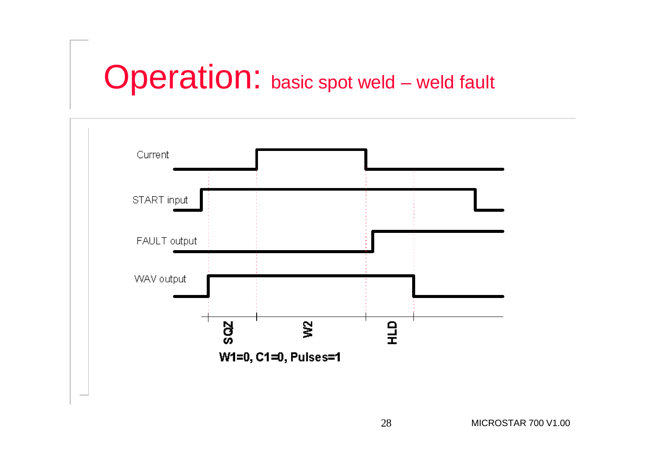## Operation: basic spot weld – weld fault

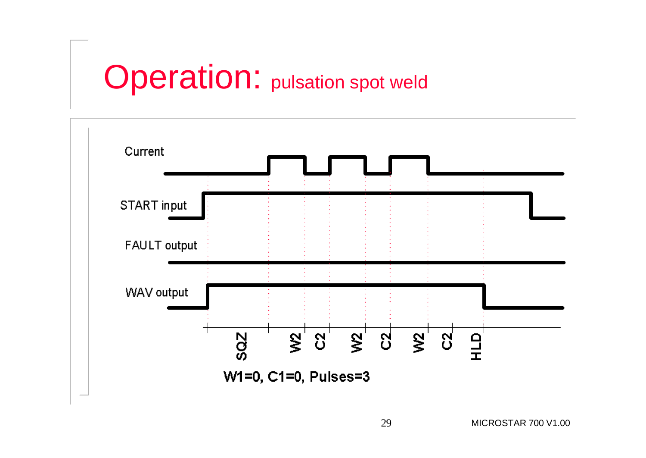### **Operation:** pulsation spot weld